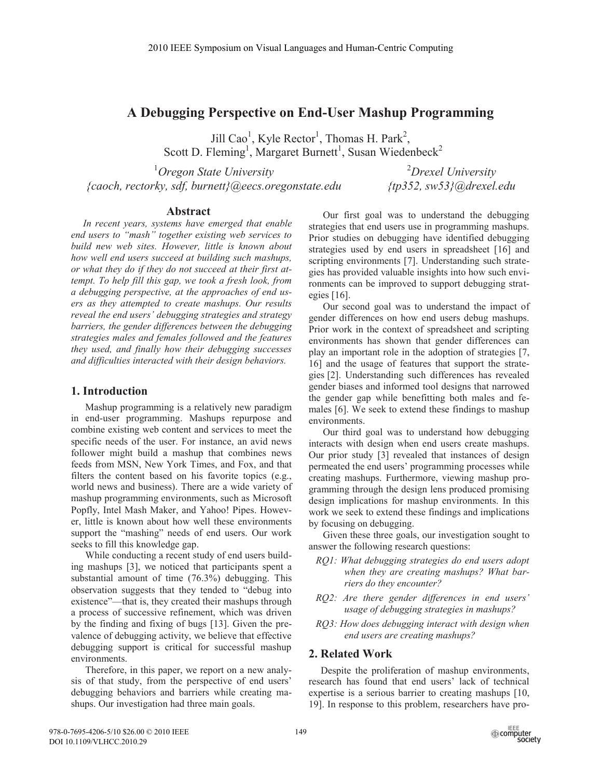# **A Debugging Perspective on End-User Mashup Programming**

Jill Cao<sup>1</sup>, Kyle Rector<sup>1</sup>, Thomas H. Park<sup>2</sup>, Scott D. Fleming<sup>1</sup>, Margaret Burnett<sup>1</sup>, Susan Wiedenbeck<sup>2</sup>

1 *Oregon State University {caoch, rectorky, sdf, burnett}@eecs.oregonstate.edu* 

2 *Drexel University {tp352, sw53}@drexel.edu* 

# **Abstract**

*In recent years, systems have emerged that enable end users to "mash" together existing web services to build new web sites. However, little is known about how well end users succeed at building such mashups, or what they do if they do not succeed at their first attempt. To help fill this gap, we took a fresh look, from a debugging perspective, at the approaches of end users as they attempted to create mashups. Our results reveal the end users' debugging strategies and strategy barriers, the gender differences between the debugging strategies males and females followed and the features they used, and finally how their debugging successes and difficulties interacted with their design behaviors.* 

## **1. Introduction**

Mashup programming is a relatively new paradigm in end-user programming. Mashups repurpose and combine existing web content and services to meet the specific needs of the user. For instance, an avid news follower might build a mashup that combines news feeds from MSN, New York Times, and Fox, and that filters the content based on his favorite topics (e.g., world news and business). There are a wide variety of mashup programming environments, such as Microsoft Popfly, Intel Mash Maker, and Yahoo! Pipes. However, little is known about how well these environments support the "mashing" needs of end users. Our work seeks to fill this knowledge gap.

While conducting a recent study of end users building mashups [3], we noticed that participants spent a substantial amount of time (76.3%) debugging. This observation suggests that they tended to "debug into existence"—that is, they created their mashups through a process of successive refinement, which was driven by the finding and fixing of bugs [13]. Given the prevalence of debugging activity, we believe that effective debugging support is critical for successful mashup environments.

Therefore, in this paper, we report on a new analysis of that study, from the perspective of end users' debugging behaviors and barriers while creating mashups. Our investigation had three main goals.

Our first goal was to understand the debugging strategies that end users use in programming mashups. Prior studies on debugging have identified debugging strategies used by end users in spreadsheet [16] and scripting environments [7]. Understanding such strategies has provided valuable insights into how such environments can be improved to support debugging strategies [16].

Our second goal was to understand the impact of gender differences on how end users debug mashups. Prior work in the context of spreadsheet and scripting environments has shown that gender differences can play an important role in the adoption of strategies [7, 16] and the usage of features that support the strategies [2]. Understanding such differences has revealed gender biases and informed tool designs that narrowed the gender gap while benefitting both males and females [6]. We seek to extend these findings to mashup environments.

Our third goal was to understand how debugging interacts with design when end users create mashups. Our prior study [3] revealed that instances of design permeated the end users' programming processes while creating mashups. Furthermore, viewing mashup programming through the design lens produced promising design implications for mashup environments. In this work we seek to extend these findings and implications by focusing on debugging.

Given these three goals, our investigation sought to answer the following research questions:

- *RQ1: What debugging strategies do end users adopt when they are creating mashups? What barriers do they encounter?*
- *RQ2: Are there gender differences in end users' usage of debugging strategies in mashups?*
- *RQ3: How does debugging interact with design when end users are creating mashups?*

## **2. Related Work**

Despite the proliferation of mashup environments, research has found that end users' lack of technical expertise is a serious barrier to creating mashups [10, 19]. In response to this problem, researchers have pro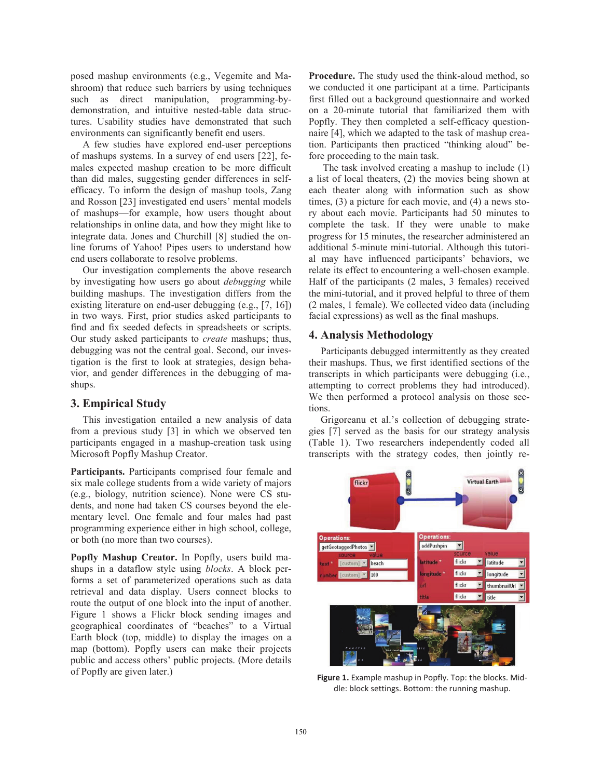posed mashup environments (e.g., Vegemite and Mashroom) that reduce such barriers by using techniques such as direct manipulation, programming-bydemonstration, and intuitive nested-table data structures. Usability studies have demonstrated that such environments can significantly benefit end users.

A few studies have explored end-user perceptions of mashups systems. In a survey of end users [22], females expected mashup creation to be more difficult than did males, suggesting gender differences in selfefficacy. To inform the design of mashup tools, Zang and Rosson [23] investigated end users' mental models of mashups—for example, how users thought about relationships in online data, and how they might like to integrate data. Jones and Churchill [8] studied the online forums of Yahoo! Pipes users to understand how end users collaborate to resolve problems.

Our investigation complements the above research by investigating how users go about *debugging* while building mashups. The investigation differs from the existing literature on end-user debugging (e.g., [7, 16]) in two ways. First, prior studies asked participants to find and fix seeded defects in spreadsheets or scripts. Our study asked participants to *create* mashups; thus, debugging was not the central goal. Second, our investigation is the first to look at strategies, design behavior, and gender differences in the debugging of mashups.

## **3. Empirical Study**

This investigation entailed a new analysis of data from a previous study [3] in which we observed ten participants engaged in a mashup-creation task using Microsoft Popfly Mashup Creator.

**Participants.** Participants comprised four female and six male college students from a wide variety of majors (e.g., biology, nutrition science). None were CS students, and none had taken CS courses beyond the elementary level. One female and four males had past programming experience either in high school, college, or both (no more than two courses).

**Popfly Mashup Creator.** In Popfly, users build mashups in a dataflow style using *blocks*. A block performs a set of parameterized operations such as data retrieval and data display. Users connect blocks to route the output of one block into the input of another. Figure 1 shows a Flickr block sending images and geographical coordinates of "beaches" to a Virtual Earth block (top, middle) to display the images on a map (bottom). Popfly users can make their projects public and access others' public projects. (More details of Popfly are given later.)

**Procedure.** The study used the think-aloud method, so we conducted it one participant at a time. Participants first filled out a background questionnaire and worked on a 20-minute tutorial that familiarized them with Popfly. They then completed a self-efficacy questionnaire [4], which we adapted to the task of mashup creation. Participants then practiced "thinking aloud" before proceeding to the main task.

The task involved creating a mashup to include (1) a list of local theaters, (2) the movies being shown at each theater along with information such as show times, (3) a picture for each movie, and (4) a news story about each movie. Participants had 50 minutes to complete the task. If they were unable to make progress for 15 minutes, the researcher administered an additional 5-minute mini-tutorial. Although this tutorial may have influenced participants' behaviors, we relate its effect to encountering a well-chosen example. Half of the participants (2 males, 3 females) received the mini-tutorial, and it proved helpful to three of them (2 males, 1 female). We collected video data (including facial expressions) as well as the final mashups.

# **4. Analysis Methodology**

Participants debugged intermittently as they created their mashups. Thus, we first identified sections of the transcripts in which participants were debugging (i.e., attempting to correct problems they had introduced). We then performed a protocol analysis on those sections.

Grigoreanu et al.'s collection of debugging strategies [7] served as the basis for our strategy analysis (Table 1). Two researchers independently coded all transcripts with the strategy codes, then jointly re-



**Figure 1.** Example mashup in Popfly. Top: the blocks. Middle: block settings. Bottom: the running mashup.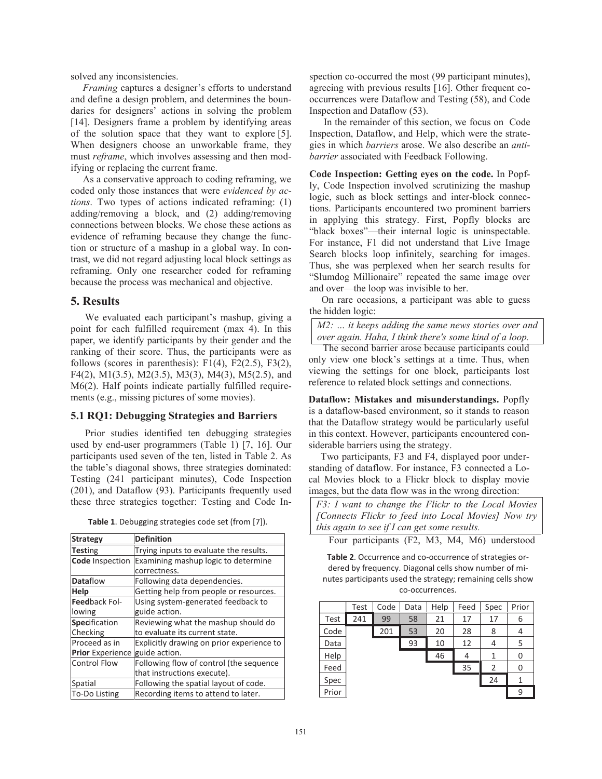solved any inconsistencies.

*Framing* captures a designer's efforts to understand and define a design problem, and determines the boundaries for designers' actions in solving the problem [14]. Designers frame a problem by identifying areas of the solution space that they want to explore [5]. When designers choose an unworkable frame, they must *reframe*, which involves assessing and then modifying or replacing the current frame.

As a conservative approach to coding reframing, we coded only those instances that were *evidenced by actions*. Two types of actions indicated reframing: (1) adding/removing a block, and (2) adding/removing connections between blocks. We chose these actions as evidence of reframing because they change the function or structure of a mashup in a global way. In contrast, we did not regard adjusting local block settings as reframing. Only one researcher coded for reframing because the process was mechanical and objective.

# **5. Results**

We evaluated each participant's mashup, giving a point for each fulfilled requirement (max 4). In this paper, we identify participants by their gender and the ranking of their score. Thus, the participants were as follows (scores in parenthesis):  $F1(4)$ ,  $F2(2.5)$ ,  $F3(2)$ , F4(2), M1(3.5), M2(3.5), M3(3), M4(3), M5(2.5), and M6(2). Half points indicate partially fulfilled requirements (e.g., missing pictures of some movies).

#### **5.1 RQ1: Debugging Strategies and Barriers**

Prior studies identified ten debugging strategies used by end-user programmers (Table 1) [7, 16]. Our participants used seven of the ten, listed in Table 2. As the table's diagonal shows, three strategies dominated: Testing (241 participant minutes), Code Inspection (201), and Dataflow (93). Participants frequently used these three strategies together: Testing and Code In-

| <b>Strategy</b>                       | <b>Definition</b>                         |
|---------------------------------------|-------------------------------------------|
| <b>Testing</b>                        | Trying inputs to evaluate the results.    |
| Code Inspection                       | Examining mashup logic to determine       |
|                                       | correctness.                              |
| <b>Dataflow</b>                       | Following data dependencies.              |
| Help                                  | Getting help from people or resources.    |
| <b>Feedback Fol-</b>                  | Using system-generated feedback to        |
| lowing                                | guide action.                             |
| <b>Specification</b>                  | Reviewing what the mashup should do       |
| Checking                              | to evaluate its current state.            |
| Proceed as in                         | Explicitly drawing on prior experience to |
| <b>Prior</b> Experience guide action. |                                           |
| <b>Control Flow</b>                   | Following flow of control (the sequence   |
|                                       | that instructions execute).               |
| Spatial                               | Following the spatial layout of code.     |
| To-Do Listing                         | Recording items to attend to later.       |

**Table 1**. Debugging strategies code set (from [7]).

spection co-occurred the most (99 participant minutes), agreeing with previous results [16]. Other frequent cooccurrences were Dataflow and Testing (58), and Code Inspection and Dataflow (53).

In the remainder of this section, we focus on Code Inspection, Dataflow, and Help, which were the strategies in which *barriers* arose. We also describe an *antibarrier* associated with Feedback Following.

**Code Inspection: Getting eyes on the code.** In Popfly, Code Inspection involved scrutinizing the mashup logic, such as block settings and inter-block connections. Participants encountered two prominent barriers in applying this strategy. First, Popfly blocks are "black boxes"—their internal logic is uninspectable. For instance, F1 did not understand that Live Image Search blocks loop infinitely, searching for images. Thus, she was perplexed when her search results for "Slumdog Millionaire" repeated the same image over and over—the loop was invisible to her.

On rare occasions, a participant was able to guess the hidden logic:

*M2: … it keeps adding the same news stories over and over again. Haha, I think there's some kind of a loop.* 

The second barrier arose because participants could only view one block's settings at a time. Thus, when viewing the settings for one block, participants lost reference to related block settings and connections.

**Dataflow: Mistakes and misunderstandings.** Popfly is a dataflow-based environment, so it stands to reason that the Dataflow strategy would be particularly useful in this context. However, participants encountered considerable barriers using the strategy.

Two participants, F3 and F4, displayed poor understanding of dataflow. For instance, F3 connected a Local Movies block to a Flickr block to display movie images, but the data flow was in the wrong direction:

*F3: I want to change the Flickr to the Local Movies [Connects Flickr to feed into Local Movies] Now try this again to see if I can get some results.* 

Four participants (F2, M3, M4, M6) understood

**Table 2**. Occurrence and co-occurrence of strategies ordered by frequency. Diagonal cells show number of minutes participants used the strategy; remaining cells show co-occurrences.

|       | Test | Code | Data | Help | Feed | Spec | Prior |
|-------|------|------|------|------|------|------|-------|
| Test  | 241  | 99   | 58   | 21   | 17   | 17   | 6     |
| Code  |      | 201  | 53   | 20   | 28   | 8    | 4     |
| Data  |      |      | 93   | 10   | 12   | 4    | 5     |
| Help  |      |      |      | 46   | 4    | 1    | 0     |
| Feed  |      |      |      |      | 35   | 2    |       |
| Spec  |      |      |      |      |      | 24   |       |
| Prior |      |      |      |      |      |      | 9     |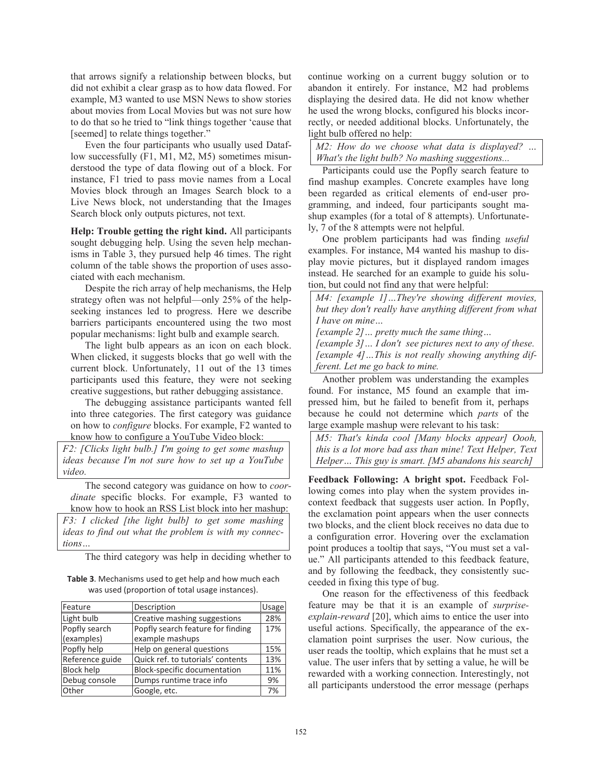that arrows signify a relationship between blocks, but did not exhibit a clear grasp as to how data flowed. For example, M3 wanted to use MSN News to show stories about movies from Local Movies but was not sure how to do that so he tried to "link things together 'cause that [seemed] to relate things together."

Even the four participants who usually used Dataflow successfully (F1, M1, M2, M5) sometimes misunderstood the type of data flowing out of a block. For instance, F1 tried to pass movie names from a Local Movies block through an Images Search block to a Live News block, not understanding that the Images Search block only outputs pictures, not text.

**Help: Trouble getting the right kind.** All participants sought debugging help. Using the seven help mechanisms in Table 3, they pursued help 46 times. The right column of the table shows the proportion of uses associated with each mechanism.

Despite the rich array of help mechanisms, the Help strategy often was not helpful—only 25% of the helpseeking instances led to progress. Here we describe barriers participants encountered using the two most popular mechanisms: light bulb and example search.

The light bulb appears as an icon on each block. When clicked, it suggests blocks that go well with the current block. Unfortunately, 11 out of the 13 times participants used this feature, they were not seeking creative suggestions, but rather debugging assistance.

The debugging assistance participants wanted fell into three categories. The first category was guidance on how to *configure* blocks. For example, F2 wanted to know how to configure a YouTube Video block:

*F2: [Clicks light bulb.] I'm going to get some mashup ideas because I'm not sure how to set up a YouTube video.* 

The second category was guidance on how to *coordinate* specific blocks. For example, F3 wanted to know how to hook an RSS List block into her mashup: *F3: I clicked [the light bulb] to get some mashing ideas to find out what the problem is with my connections…*

The third category was help in deciding whether to

**Table 3**. Mechanisms used to get help and how much each was used (proportion of total usage instances).

| Feature                     | Description                                          | Usage |
|-----------------------------|------------------------------------------------------|-------|
| Light bulb                  | Creative mashing suggestions                         | 28%   |
| Popfly search<br>(examples) | Popfly search feature for finding<br>example mashups | 17%   |
| Popfly help                 | Help on general questions                            | 15%   |
| Reference guide             | Quick ref. to tutorials' contents                    | 13%   |
| <b>Block help</b>           | Block-specific documentation                         | 11%   |
| Debug console               | Dumps runtime trace info                             | 9%    |
| Other                       | Google, etc.                                         | 7%    |

continue working on a current buggy solution or to abandon it entirely. For instance, M2 had problems displaying the desired data. He did not know whether he used the wrong blocks, configured his blocks incorrectly, or needed additional blocks. Unfortunately, the light bulb offered no help:

*M2: How do we choose what data is displayed? … What's the light bulb? No mashing suggestions...* 

Participants could use the Popfly search feature to find mashup examples. Concrete examples have long been regarded as critical elements of end-user programming, and indeed, four participants sought mashup examples (for a total of 8 attempts). Unfortunately, 7 of the 8 attempts were not helpful.

One problem participants had was finding *useful* examples. For instance, M4 wanted his mashup to display movie pictures, but it displayed random images instead. He searched for an example to guide his solution, but could not find any that were helpful:

*M4: [example 1]…They're showing different movies, but they don't really have anything different from what I have on mine…* 

*[example 2]… pretty much the same thing…* 

*[example 3]… I don't see pictures next to any of these. [example 4]…This is not really showing anything different. Let me go back to mine.* 

Another problem was understanding the examples found. For instance, M5 found an example that impressed him, but he failed to benefit from it, perhaps because he could not determine which *parts* of the large example mashup were relevant to his task:

*M5: That's kinda cool [Many blocks appear] Oooh, this is a lot more bad ass than mine! Text Helper, Text Helper… This guy is smart. [M5 abandons his search]* 

**Feedback Following: A bright spot.** Feedback Following comes into play when the system provides incontext feedback that suggests user action. In Popfly, the exclamation point appears when the user connects two blocks, and the client block receives no data due to a configuration error. Hovering over the exclamation point produces a tooltip that says, "You must set a value." All participants attended to this feedback feature, and by following the feedback, they consistently succeeded in fixing this type of bug.

One reason for the effectiveness of this feedback feature may be that it is an example of *surpriseexplain-reward* [20], which aims to entice the user into useful actions. Specifically, the appearance of the exclamation point surprises the user. Now curious, the user reads the tooltip, which explains that he must set a value. The user infers that by setting a value, he will be rewarded with a working connection. Interestingly, not all participants understood the error message (perhaps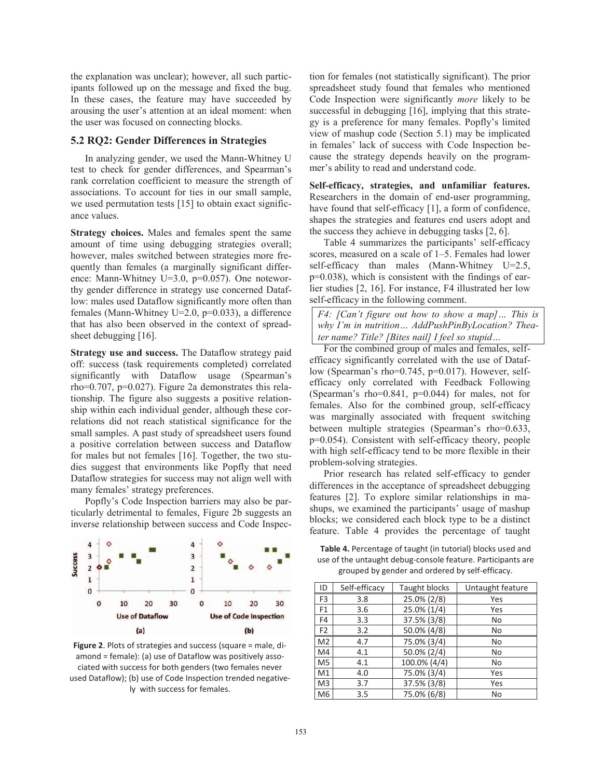the explanation was unclear); however, all such participants followed up on the message and fixed the bug. In these cases, the feature may have succeeded by arousing the user's attention at an ideal moment: when the user was focused on connecting blocks.

## **5.2 RQ2: Gender Differences in Strategies**

In analyzing gender, we used the Mann-Whitney U test to check for gender differences, and Spearman's rank correlation coefficient to measure the strength of associations. To account for ties in our small sample, we used permutation tests [15] to obtain exact significance values.

**Strategy choices.** Males and females spent the same amount of time using debugging strategies overall; however, males switched between strategies more frequently than females (a marginally significant difference: Mann-Whitney U=3.0, p=0.057). One noteworthy gender difference in strategy use concerned Dataflow: males used Dataflow significantly more often than females (Mann-Whitney U=2.0, p=0.033), a difference that has also been observed in the context of spreadsheet debugging [16].

**Strategy use and success.** The Dataflow strategy paid off: success (task requirements completed) correlated significantly with Dataflow usage (Spearman's rho=0.707, p=0.027). Figure 2a demonstrates this relationship. The figure also suggests a positive relationship within each individual gender, although these correlations did not reach statistical significance for the small samples. A past study of spreadsheet users found a positive correlation between success and Dataflow for males but not females [16]. Together, the two studies suggest that environments like Popfly that need Dataflow strategies for success may not align well with many females' strategy preferences.

Popfly's Code Inspection barriers may also be particularly detrimental to females, Figure 2b suggests an inverse relationship between success and Code Inspec-



**Figure 2**. Plots of strategies and success (square = male, diamond = female): (a) use of Dataflow was positively associated with success for both genders (two females never used Dataflow); (b) use of Code Inspection trended negatively with success for females.

tion for females (not statistically significant). The prior spreadsheet study found that females who mentioned Code Inspection were significantly *more* likely to be successful in debugging [16], implying that this strategy is a preference for many females. Popfly's limited view of mashup code (Section 5.1) may be implicated in females' lack of success with Code Inspection because the strategy depends heavily on the programmer's ability to read and understand code.

**Self-efficacy, strategies, and unfamiliar features.** Researchers in the domain of end-user programming, have found that self-efficacy [1], a form of confidence, shapes the strategies and features end users adopt and the success they achieve in debugging tasks [2, 6].

Table 4 summarizes the participants' self-efficacy scores, measured on a scale of 1–5. Females had lower self-efficacy than males (Mann-Whitney U=2.5, p=0.038), which is consistent with the findings of earlier studies [2, 16]. For instance, F4 illustrated her low self-efficacy in the following comment.

*F4: [Can't figure out how to show a map]… This is why I'm in nutrition… AddPushPinByLocation? Theater name? Title? [Bites nail] I feel so stupid…* 

For the combined group of males and females, selfefficacy significantly correlated with the use of Dataflow (Spearman's rho=0.745, p=0.017). However, selfefficacy only correlated with Feedback Following (Spearman's rho=0.841, p=0.044) for males, not for females. Also for the combined group, self-efficacy was marginally associated with frequent switching between multiple strategies (Spearman's rho=0.633, p=0.054). Consistent with self-efficacy theory, people with high self-efficacy tend to be more flexible in their problem-solving strategies.

Prior research has related self-efficacy to gender differences in the acceptance of spreadsheet debugging features [2]. To explore similar relationships in mashups, we examined the participants' usage of mashup blocks; we considered each block type to be a distinct feature. Table 4 provides the percentage of taught

**Table 4.** Percentage of taught (in tutorial) blocks used and use of the untaught debug-console feature. Participants are grouped by gender and ordered by self-efficacy.

| ID             | Self-efficacy | Taught blocks  | Untaught feature |
|----------------|---------------|----------------|------------------|
| F <sub>3</sub> | 3.8           | $25.0\% (2/8)$ | Yes              |
| F1             | 3.6           | 25.0% (1/4)    | Yes              |
| F <sub>4</sub> | 3.3           | 37.5% (3/8)    | No               |
| F <sub>2</sub> | 3.2           | 50.0% (4/8)    | No               |
| M <sub>2</sub> | 4.7           | 75.0% (3/4)    | No               |
| M4             | 4.1           | 50.0% (2/4)    | No               |
| M <sub>5</sub> | 4.1           | 100.0% (4/4)   | No               |
| M1             | 4.0           | 75.0% (3/4)    | Yes              |
| M3             | 3.7           | 37.5% (3/8)    | Yes              |
| M <sub>6</sub> | 3.5           | 75.0% (6/8)    | No               |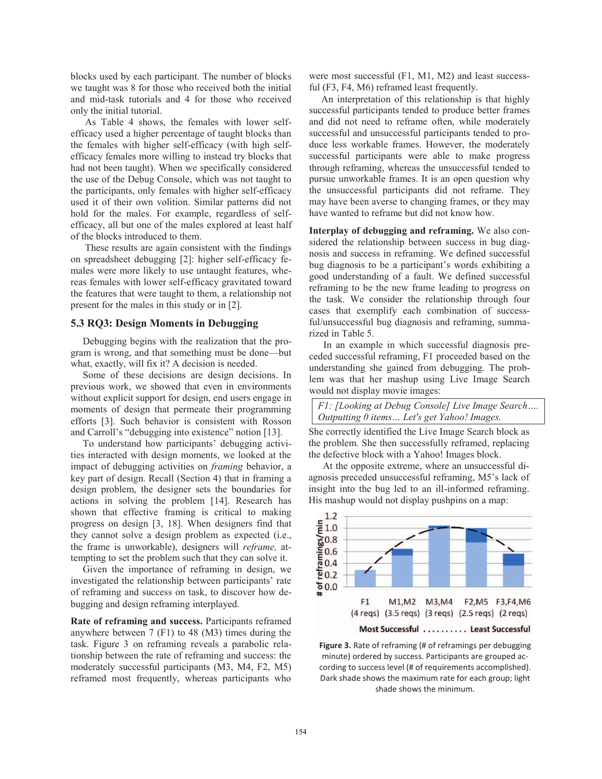blocks used by each participant. The number of blocks we taught was 8 for those who received both the initial and mid-task tutorials and 4 for those who received only the initial tutorial.

As Table 4 shows, the females with lower selfefficacy used a higher percentage of taught blocks than the females with higher self-efficacy (with high selfefficacy females more willing to instead try blocks that had not been taught). When we specifically considered the use of the Debug Console, which was not taught to the participants, only females with higher self-efficacy used it of their own volition. Similar patterns did not hold for the males. For example, regardless of selfefficacy, all but one of the males explored at least half of the blocks introduced to them.

These results are again consistent with the findings on spreadsheet debugging [2]: higher self-efficacy females were more likely to use untaught features, whereas females with lower self-efficacy gravitated toward the features that were taught to them, a relationship not present for the males in this study or in [2].

#### **5.3 RQ3: Design Moments in Debugging**

Debugging begins with the realization that the program is wrong, and that something must be done—but what, exactly, will fix it? A decision is needed.

Some of these decisions are design decisions. In previous work, we showed that even in environments without explicit support for design, end users engage in moments of design that permeate their programming efforts [3]. Such behavior is consistent with Rosson and Carroll's "debugging into existence" notion [13].

To understand how participants' debugging activities interacted with design moments, we looked at the impact of debugging activities on *framing* behavior, a key part of design. Recall (Section 4) that in framing a design problem, the designer sets the boundaries for actions in solving the problem [14]. Research has shown that effective framing is critical to making progress on design [3, 18]. When designers find that they cannot solve a design problem as expected (i.e., the frame is unworkable), designers will *reframe,* attempting to set the problem such that they can solve it.

Given the importance of reframing in design, we investigated the relationship between participants' rate of reframing and success on task, to discover how debugging and design reframing interplayed.

**Rate of reframing and success.** Participants reframed anywhere between 7 (F1) to 48 (M3) times during the task. Figure 3 on reframing reveals a parabolic relationship between the rate of reframing and success: the moderately successful participants (M3, M4, F2, M5) reframed most frequently, whereas participants who were most successful (F1, M1, M2) and least successful (F3, F4, M6) reframed least frequently.

An interpretation of this relationship is that highly successful participants tended to produce better frames and did not need to reframe often, while moderately successful and unsuccessful participants tended to produce less workable frames. However, the moderately successful participants were able to make progress through reframing, whereas the unsuccessful tended to pursue unworkable frames. It is an open question why the unsuccessful participants did not reframe. They may have been averse to changing frames, or they may have wanted to reframe but did not know how.

**Interplay of debugging and reframing.** We also considered the relationship between success in bug diagnosis and success in reframing. We defined successful bug diagnosis to be a participant's words exhibiting a good understanding of a fault. We defined successful reframing to be the new frame leading to progress on the task. We consider the relationship through four cases that exemplify each combination of successful/unsuccessful bug diagnosis and reframing, summarized in Table 5.

In an example in which successful diagnosis preceded successful reframing, F1 proceeded based on the understanding she gained from debugging. The problem was that her mashup using Live Image Search would not display movie images:

## *F1: [Looking at Debug Console] Live Image Search…. Outputting 0 items… Let's get Yahoo! Images.*

She correctly identified the Live Image Search block as the problem. She then successfully reframed, replacing the defective block with a Yahoo! Images block.

At the opposite extreme, where an unsuccessful diagnosis preceded unsuccessful reframing, M5's lack of insight into the bug led to an ill-informed reframing. His mashup would not display pushpins on a map:



**Figure 3.** Rate of reframing (# of reframings per debugging minute) ordered by success. Participants are grouped according to success level (# of requirements accomplished). Dark shade shows the maximum rate for each group; light shade shows the minimum.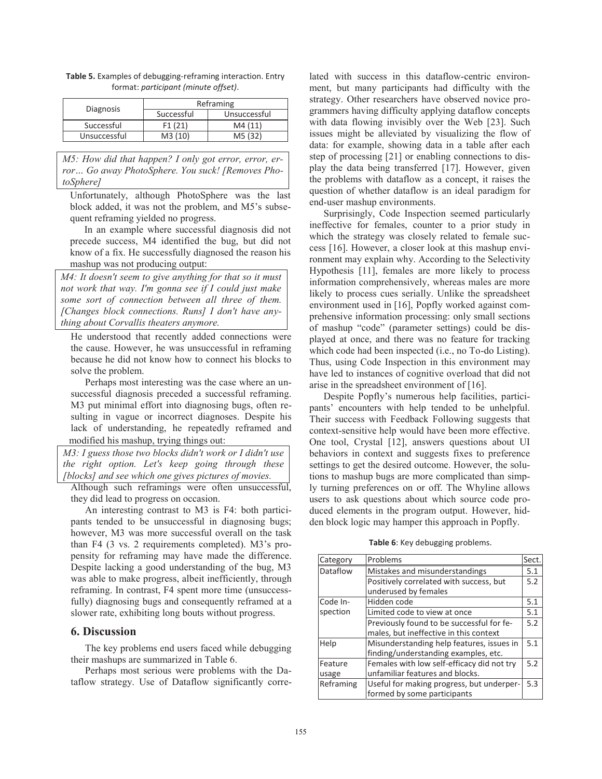|              | Reframing  |              |  |  |
|--------------|------------|--------------|--|--|
| Diagnosis    | Successful | Unsuccessful |  |  |
| Successful   | F1(21)     | M4(11)       |  |  |
| Unsuccessful | M3(10)     | M5 (32)      |  |  |

**Table 5.** Examples of debugging-reframing interaction. Entry format: *participant (minute offset)*.

*M5: How did that happen? I only got error, error, error… Go away PhotoSphere. You suck! [Removes PhotoSphere]* 

Unfortunately, although PhotoSphere was the last block added, it was not the problem, and M5's subsequent reframing yielded no progress.

In an example where successful diagnosis did not precede success, M4 identified the bug, but did not know of a fix. He successfully diagnosed the reason his mashup was not producing output:

*M4: It doesn't seem to give anything for that so it must not work that way. I'm gonna see if I could just make some sort of connection between all three of them. [Changes block connections. Runs] I don't have anything about Corvallis theaters anymore.* 

He understood that recently added connections were the cause. However, he was unsuccessful in reframing because he did not know how to connect his blocks to solve the problem.

Perhaps most interesting was the case where an unsuccessful diagnosis preceded a successful reframing. M3 put minimal effort into diagnosing bugs, often resulting in vague or incorrect diagnoses. Despite his lack of understanding, he repeatedly reframed and modified his mashup, trying things out:

*M3: I guess those two blocks didn't work or I didn't use the right option. Let's keep going through these [blocks] and see which one gives pictures of movies.* 

Although such reframings were often unsuccessful, they did lead to progress on occasion.

An interesting contrast to M3 is F4: both participants tended to be unsuccessful in diagnosing bugs; however, M3 was more successful overall on the task than F4 (3 vs. 2 requirements completed). M3's propensity for reframing may have made the difference. Despite lacking a good understanding of the bug, M3 was able to make progress, albeit inefficiently, through reframing. In contrast, F4 spent more time (unsuccessfully) diagnosing bugs and consequently reframed at a slower rate, exhibiting long bouts without progress.

#### **6. Discussion**

The key problems end users faced while debugging their mashups are summarized in Table 6.

Perhaps most serious were problems with the Dataflow strategy. Use of Dataflow significantly correlated with success in this dataflow-centric environment, but many participants had difficulty with the strategy. Other researchers have observed novice programmers having difficulty applying dataflow concepts with data flowing invisibly over the Web [23]. Such issues might be alleviated by visualizing the flow of data: for example, showing data in a table after each step of processing [21] or enabling connections to display the data being transferred [17]. However, given the problems with dataflow as a concept, it raises the question of whether dataflow is an ideal paradigm for end-user mashup environments.

Surprisingly, Code Inspection seemed particularly ineffective for females, counter to a prior study in which the strategy was closely related to female success [16]. However, a closer look at this mashup environment may explain why. According to the Selectivity Hypothesis [11], females are more likely to process information comprehensively, whereas males are more likely to process cues serially. Unlike the spreadsheet environment used in [16], Popfly worked against comprehensive information processing: only small sections of mashup "code" (parameter settings) could be displayed at once, and there was no feature for tracking which code had been inspected (i.e., no To-do Listing). Thus, using Code Inspection in this environment may have led to instances of cognitive overload that did not arise in the spreadsheet environment of [16].

Despite Popfly's numerous help facilities, participants' encounters with help tended to be unhelpful. Their success with Feedback Following suggests that context-sensitive help would have been more effective. One tool, Crystal [12], answers questions about UI behaviors in context and suggests fixes to preference settings to get the desired outcome. However, the solutions to mashup bugs are more complicated than simply turning preferences on or off. The Whyline allows users to ask questions about which source code produced elements in the program output. However, hidden block logic may hamper this approach in Popfly.

**Table 6**: Key debugging problems.

| Category  | Problems                                   | Sect. |
|-----------|--------------------------------------------|-------|
| Dataflow  | Mistakes and misunderstandings             |       |
|           | Positively correlated with success, but    | 5.2   |
|           | underused by females                       |       |
| Code In-  | Hidden code                                | 5.1   |
| spection  | Limited code to view at once               | 5.1   |
|           | Previously found to be successful for fe-  | 5.2   |
|           | males, but ineffective in this context     |       |
| Help      | Misunderstanding help features, issues in  | 5.1   |
|           | finding/understanding examples, etc.       |       |
| Feature   | Females with low self-efficacy did not try | 5.2   |
| usage     | unfamiliar features and blocks.            |       |
| Reframing | Useful for making progress, but underper-  | 5.3   |
|           | formed by some participants                |       |